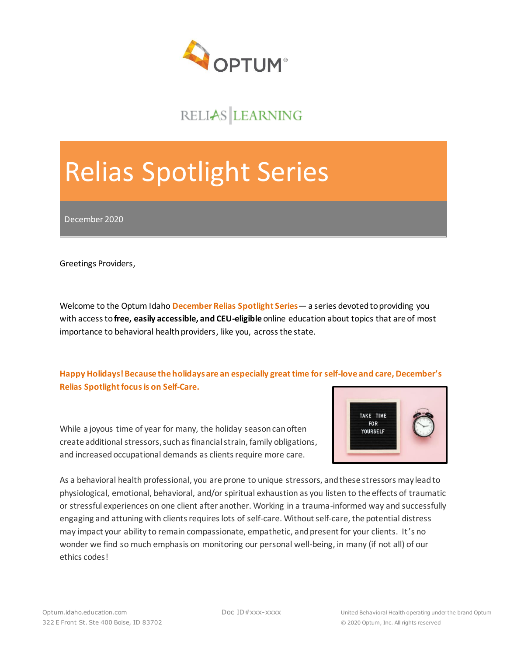

## RELIAS LEARNING

# Relias Spotlight Series

December 2020

Greetings Providers,

Welcome to the Optum Idaho **December Relias Spotlight Series**— a series devoted to providing you with access to **free, easily accessible, and CEU-eligible** online education about topics that are of most importance to behavioral health providers, like you, across the state.

**Happy Holidays! Because the holidays are an especially great time for self-love and care, December's Relias Spotlight focus is on Self-Care.**

While a joyous time of year for many, the holiday season can often create additional stressors, such as financial strain, family obligations, and increased occupational demands as clients require more care.



As a behavioral health professional, you are prone to unique stressors, and these stressors may lead to physiological, emotional, behavioral, and/or spiritual exhaustion as you listen to the effects of traumatic or stressful experiences on one client after another. Working in a trauma-informed way and successfully engaging and attuning with clients requires lots of self-care. Without self-care, the potential distress may impact your ability to remain compassionate, empathetic, and present for your clients. It's no wonder we find so much emphasis on monitoring our personal well-being, in many (if not all) of our ethics codes!